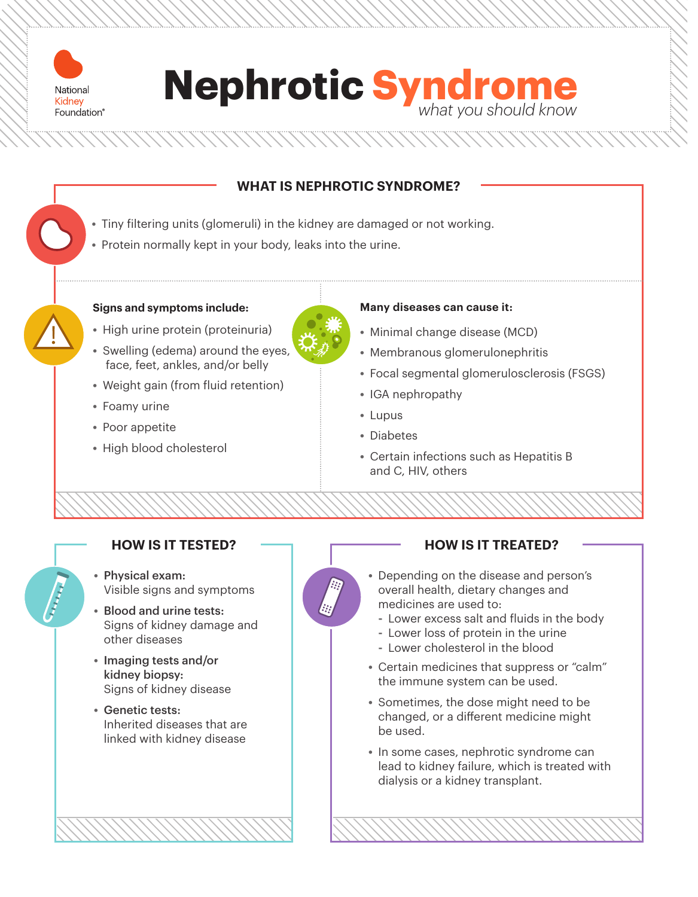



# **WHAT IS NEPHROTIC SYNDROME?**

- **•** Tiny filtering units (glomeruli) in the kidney are damaged or not working.
- **•** Protein normally kept in your body, leaks into the urine.

### **Signs and symptoms include:**

- **•** High urine protein (proteinuria)
- **•** Swelling (edema) around the eyes, face, feet, ankles, and/or belly
- **•** Weight gain (from fluid retention)
- **•** Foamy urine
- **•** Poor appetite
- **•** High blood cholesterol

## **Many diseases can cause it:**

- **•** Minimal change disease (MCD)
- **•** Membranous glomerulonephritis
- **•** Focal segmental glomerulosclerosis (FSGS)
- **•** IGA nephropathy
- **•** Lupus
- **•** Diabetes
- **•** Certain infections such as Hepatitis B and C, HIV, others

# **HOW IS IT TESTED?**

- **•** Physical exam: Visible signs and symptoms
- **•** Blood and urine tests: Signs of kidney damage and other diseases
- **•** Imaging tests and/or kidney biopsy: Signs of kidney disease
- **•** Genetic tests: Inherited diseases that are linked with kidney disease



# **HOW IS IT TREATED?**

- **•** Depending on the disease and person's overall health, dietary changes and medicines are used to:
	- **-** Lower excess salt and fluids in the body
	- **-** Lower loss of protein in the urine
	- **-** Lower cholesterol in the blood
- **•** Certain medicines that suppress or "calm" the immune system can be used.
- **•** Sometimes, the dose might need to be changed, or a different medicine might be used.
- **•** In some cases, nephrotic syndrome can lead to kidney failure, which is treated with dialysis or a kidney transplant.